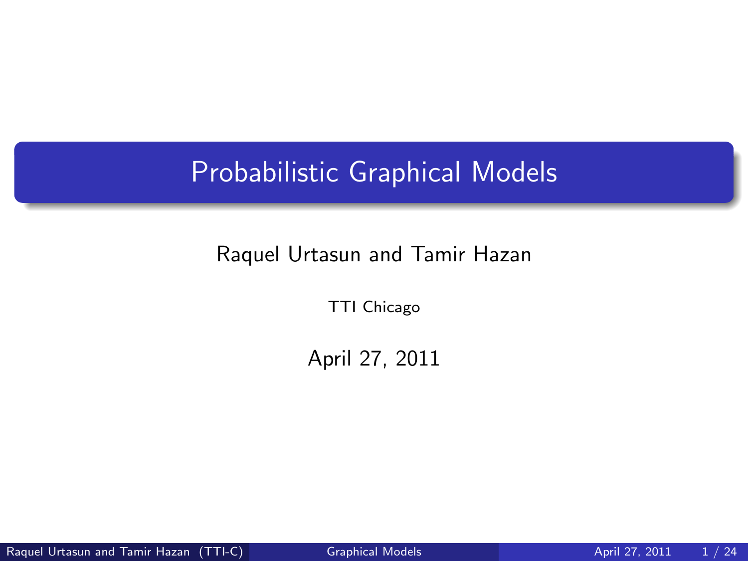## Probabilistic Graphical Models

#### Raquel Urtasun and Tamir Hazan

TTI Chicago

<span id="page-0-0"></span>April 27, 2011

Raquel Urtasun and Tamir Hazan (TTI-C) [Graphical Models](#page-23-0) April 27, 2011 1/24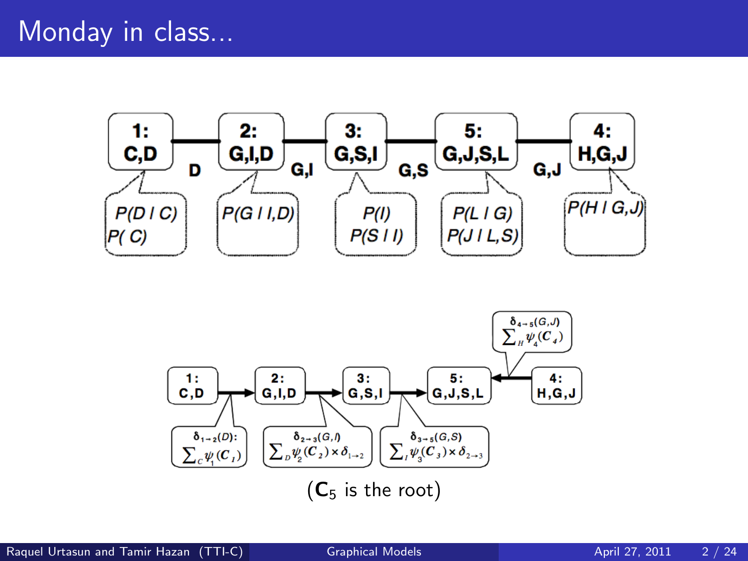#### Monday in class...



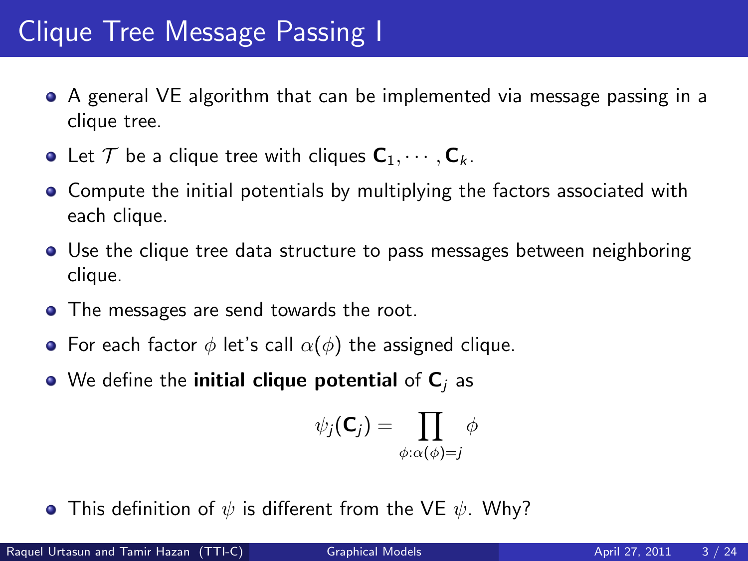- A general VE algorithm that can be implemented via message passing in a clique tree.
- Let  $\mathcal T$  be a clique tree with cliques  $C_1, \cdots, C_k$ .
- **•** Compute the initial potentials by multiplying the factors associated with each clique.
- Use the clique tree data structure to pass messages between neighboring clique.
- The messages are send towards the root.
- For each factor  $\phi$  let's call  $\alpha(\phi)$  the assigned clique.
- $\bullet$  We define the initial clique potential of  $C_i$  as

$$
\psi_j(\mathbf{C}_j) = \prod_{\phi:\alpha(\phi)=j} \phi
$$

**•** This definition of  $\psi$  is different from the VE  $\psi$ . Why?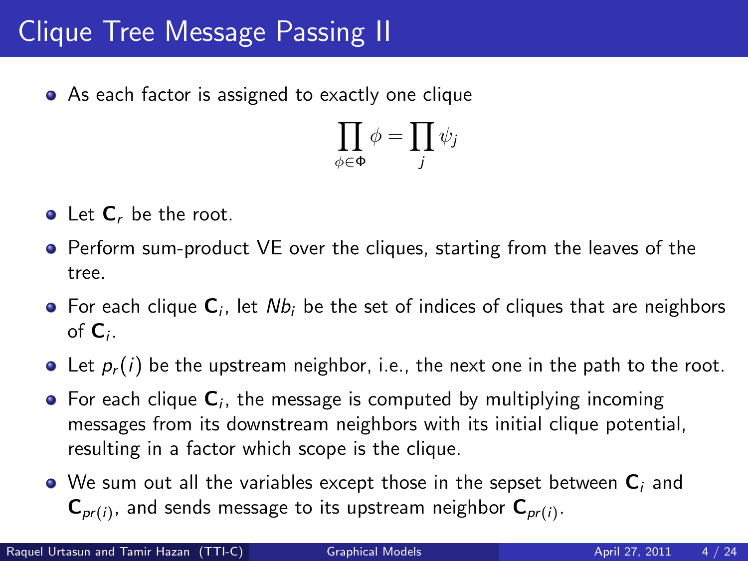### Clique Tree Message Passing II

• As each factor is assigned to exactly one clique

$$
\prod_{\phi \in \Phi} \phi = \prod_j \psi_j
$$

- $\bullet$  Let  $\mathsf{C}_r$  be the root.
- **•** Perform sum-product VE over the cliques, starting from the leaves of the tree.
- For each clique  ${\sf C}_i$ , let  $Nb_i$  be the set of indices of cliques that are neighbors of  $\mathsf{C}_i$ .
- $\bullet$  Let  $p_r(i)$  be the upstream neighbor, i.e., the next one in the path to the root.
- For each clique  ${\sf C}_i$ , the message is computed by multiplying incoming messages from its downstream neighbors with its initial clique potential, resulting in a factor which scope is the clique.
- $\bullet$  We sum out all the variables except those in the sepset between  $\mathbf{C}_i$  and  $\mathsf{C}_{\mathsf{pr}(i)}$ , and sends message to its upstream neighbor  $\mathsf{C}_{\mathsf{pr}(i)}.$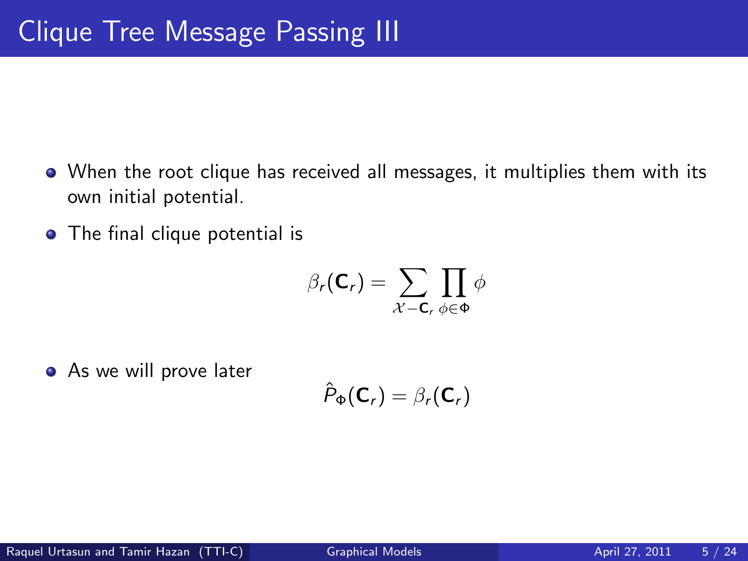- When the root clique has received all messages, it multiplies them with its own initial potential.
- The final clique potential is

$$
\beta_r(\mathbf{C}_r) = \sum_{\mathcal{X} - \mathbf{C}_r} \prod_{\phi \in \Phi} \phi
$$

**•** As we will prove later

$$
\hat{P}_{\Phi}(\mathbf{C}_r) = \beta_r(\mathbf{C}_r)
$$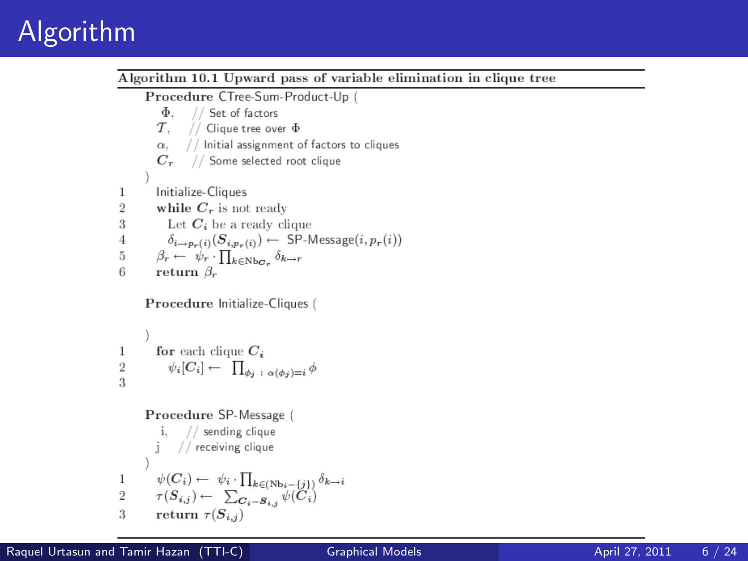# Algorithm

Algorithm 10.1 Upward pass of variable elimination in clique tree Procedure CTree-Sum-Product-Up  $\Phi$ . // Set of factors  $\tau$ . // Clique tree over  $\Phi$ // Initial assignment of factors to cliques  $\alpha$ .  $C_r$ // Some selected root clique Initialize-Cliques 1 while  $C_r$  is not ready  $\overline{2}$ 3 Let  $C_i$  be a ready clique  $\delta_{i\rightarrow p_r(i)}(S_{i,p_r(i)}) \leftarrow \text{ SP-Message}(i, p_r(i))$  $\overline{4}$  $\beta_r \leftarrow \psi_r \cdot \prod_{k \in \text{Nb}_{\mathbf{C}_r}} \delta_{k \to r}$ 5 return  $\beta_r$ 6

Procedure Initialize-Cliques (

1 **for each clique** 
$$
C_i
$$
  
2  $\psi_i[C_i] \leftarrow \prod_{\phi_j \; : \; \alpha(\phi_j)=i} d$ 

Procedure SP-Message ( i,  $//$  sending clique // receiving clique  $\begin{array}{rl} & \psi(C_i) \leftarrow & \psi_i \cdot \prod_{k \in (\mathrm{Nb}_i - \{j\})} \delta_{k \rightarrow i} \\ & \tau(S_{i,j}) \leftarrow & \sum_{\mathcal{O}_i = \mathcal{S}_{i,j}} \psi(C_i) \end{array}$ 1  $\overline{2}$ 3 return  $\tau(S_{i,j})$ 

١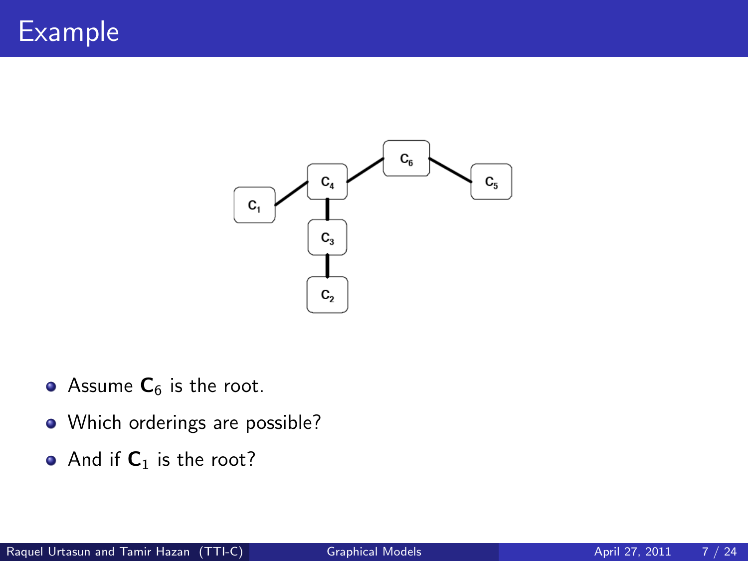

- Assume  $C_6$  is the root.
- Which orderings are possible?
- And if  $C_1$  is the root?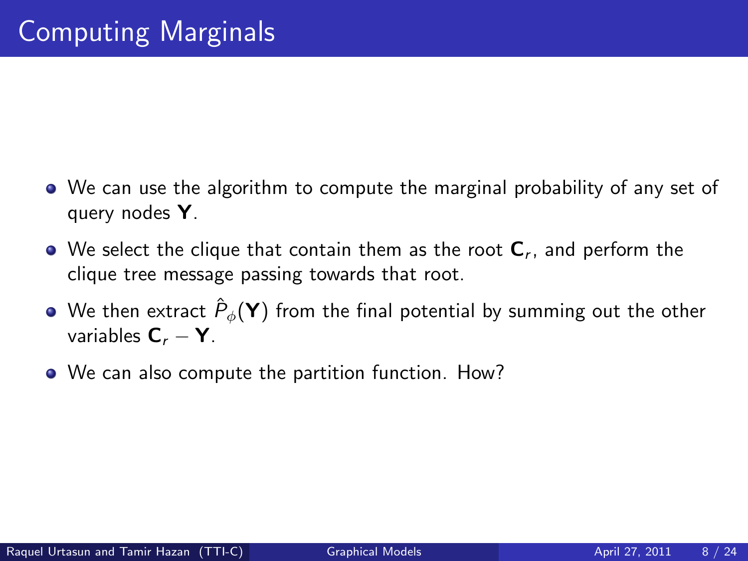- We can use the algorithm to compute the marginal probability of any set of query nodes Y.
- We select the clique that contain them as the root  ${\sf C}_r$ , and perform the clique tree message passing towards that root.
- We then extract  $\hat{P}_\phi(\mathsf{Y})$  from the final potential by summing out the other variables  $C_r - Y$ .
- We can also compute the partition function. How?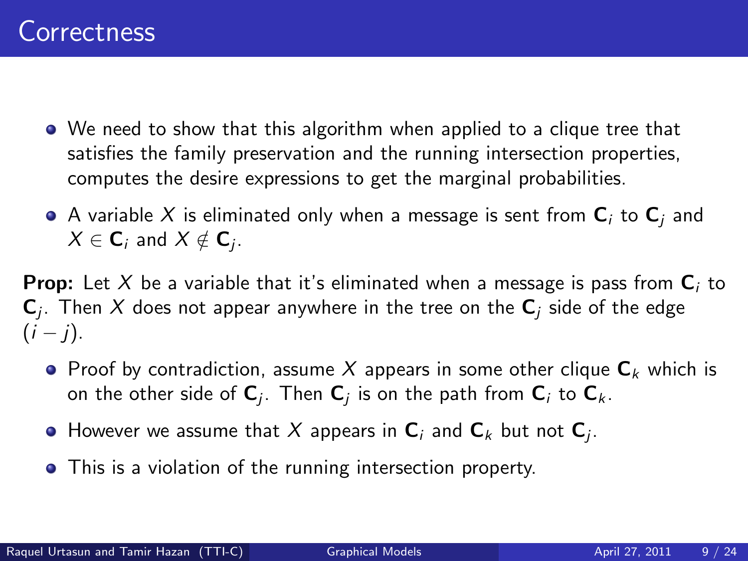- We need to show that this algorithm when applied to a clique tree that satisfies the family preservation and the running intersection properties, computes the desire expressions to get the marginal probabilities.
- $\bullet$  A variable X is eliminated only when a message is sent from  $\mathbf{C}_i$  to  $\mathbf{C}_i$  and  $X\in\mathsf{C}_i$  and  $X\notin\mathsf{C}_j.$

**Prop:** Let X be a variable that it's eliminated when a message is pass from  $C_i$  to  $\mathsf{C}_j$ . Then  $X$  does not appear anywhere in the tree on the  $\mathsf{C}_j$  side of the edge  $(i - j)$ .

- **•** Proof by contradiction, assume X appears in some other clique  $C_k$  which is on the other side of  ${\sf C}_j$ . Then  ${\sf C}_j$  is on the path from  ${\sf C}_i$  to  ${\sf C}_k$ .
- However we assume that  $X$  appears in  ${\bf C}_i$  and  ${\bf C}_k$  but not  ${\bf C}_j.$
- This is a violation of the running intersection property.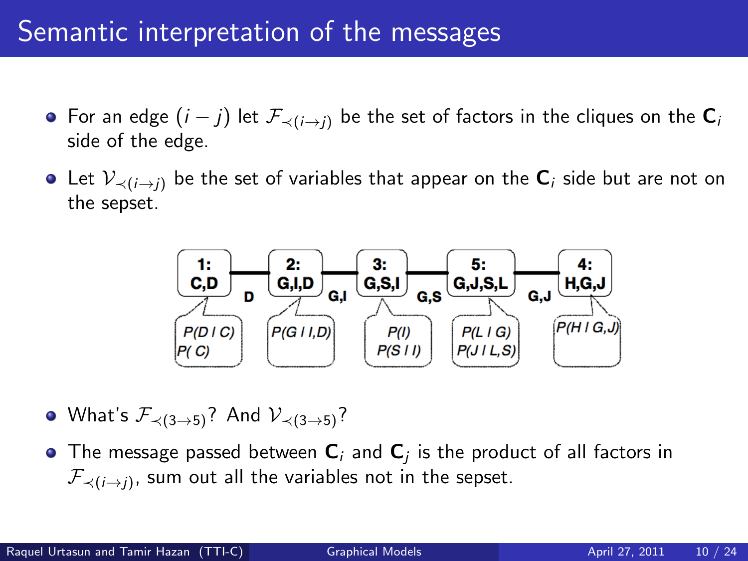#### Semantic interpretation of the messages

- For an edge  $(i j)$  let  $\mathcal{F}_{\prec (i \to j)}$  be the set of factors in the cliques on the  $\mathbf{C}_i$ side of the edge.
- Let  $\mathcal{V}_{\prec(i\to i)}$  be the set of variables that appear on the  $C_i$  side but are not on the sepset.



- What's  $\mathcal{F}_{\prec (3\rightarrow 5)}$ ? And  $\mathcal{V}_{\prec (3\rightarrow 5)}$ ?
- The message passed between  ${\sf C}_i$  and  ${\sf C}_j$  is the product of all factors in  ${\mathcal F}_{\prec (i\rightarrow j)},$  sum out all the variables not in the sepset.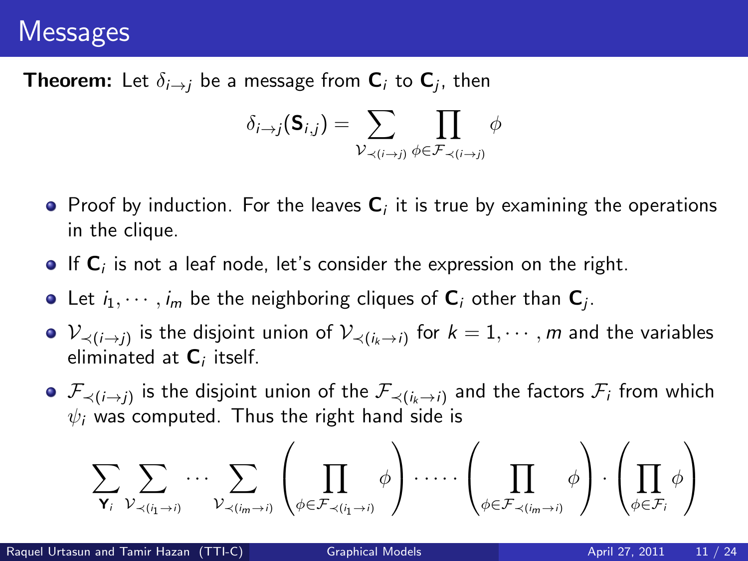#### **Messages**

**Theorem:** Let  $\delta_{i\rightarrow j}$  be a message from  $\textbf{C}_i$  to  $\textbf{C}_j$ , then

$$
\delta_{i\to j}(\mathbf{S}_{i,j}) = \sum_{\mathcal{V}_{\prec(i\to j)}} \prod_{\phi \in \mathcal{F}_{\prec(i\to j)}} \phi
$$

- Proof by induction. For the leaves  ${\sf C}_i$  it is true by examining the operations in the clique.
- If  ${\sf C}_i$  is not a leaf node, let's consider the expression on the right.
- Let  $i_1,\cdots,i_m$  be the neighboring cliques of  ${\sf C}_i$  other than  ${\sf C}_j$ .
- $\mathcal{V}_{\prec (i\to j)}$  is the disjoint union of  $\mathcal{V}_{\prec (i_k\to i)}$  for  $k=1,\cdots,m$  and the variables eliminated at  ${\sf C}_i$  itself.
- $\mathcal{F}_{\prec (i\to j)}$  is the disjoint union of the  $\mathcal{F}_{\prec (i_k\to i)}$  and the factors  $\mathcal{F}_i$  from which  $\psi_i$  was computed. Thus the right hand side is

$$
\sum_{\mathbf{Y}_i} \sum_{\mathcal{V}_{\prec(i_1 \rightarrow i)}} \cdots \sum_{\mathcal{V}_{\prec(i_m \rightarrow i)}} \left( \prod_{\phi \in \mathcal{F}_{\prec(i_1 \rightarrow i)}} \phi \right) \cdots \cdots \left( \prod_{\phi \in \mathcal{F}_{\prec(i_m \rightarrow i)}} \phi \right) \cdot \left( \prod_{\phi \in \mathcal{F}_i} \phi \right)
$$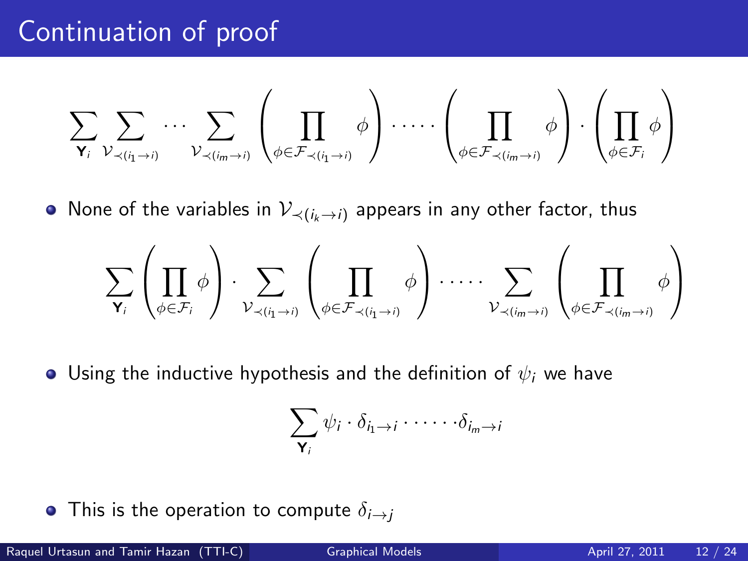#### Continuation of proof

$$
\sum_{\mathbf{Y}_i} \sum_{\mathcal{V}_{\prec(i_1 \rightarrow i)}} \cdots \sum_{\mathcal{V}_{\prec(i_m \rightarrow i)}} \left( \prod_{\phi \in \mathcal{F}_{\prec(i_1 \rightarrow i)}} \phi \right) \cdots \cdots \left( \prod_{\phi \in \mathcal{F}_{\prec(i_m \rightarrow i)}} \phi \right) \cdot \left( \prod_{\phi \in \mathcal{F}_i} \phi \right)
$$

• None of the variables in  $\mathcal{V}_{\prec(i_k\rightarrow i)}$  appears in any other factor, thus

$$
\sum_{\mathbf{Y}_i}\left(\prod_{\phi\in\mathcal{F}_i}\phi\right)\cdot\sum_{\mathcal{V}_{\prec(i_1\rightarrow i)}}\left(\prod_{\phi\in\mathcal{F}_{\prec(i_1\rightarrow i)}}\phi\right)\cdot\dots\cdot\sum_{\mathcal{V}_{\prec(i_m\rightarrow i)}}\left(\prod_{\phi\in\mathcal{F}_{\prec(i_m\rightarrow i)}}\phi\right)
$$

**•** Using the inductive hypothesis and the definition of  $\psi_i$  we have

$$
\sum_{\mathbf{Y}_i} \psi_i \cdot \delta_{i_1 \to i} \cdot \cdots \cdot \delta_{i_m \to i}
$$

• This is the operation to compute  $\delta_{i\rightarrow j}$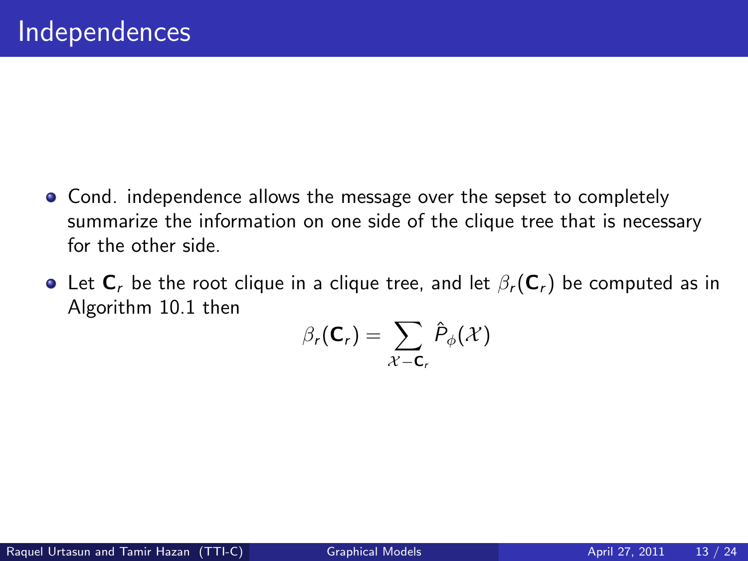- Cond. independence allows the message over the sepset to completely summarize the information on one side of the clique tree that is necessary for the other side.
- Let  $C_r$  be the root clique in a clique tree, and let  $\beta_r(C_r)$  be computed as in Algorithm 10.1 then

$$
\beta_r(\mathsf{C}_r) = \sum_{\mathcal{X}-\mathsf{C}_r} \hat{P}_{\phi}(\mathcal{X})
$$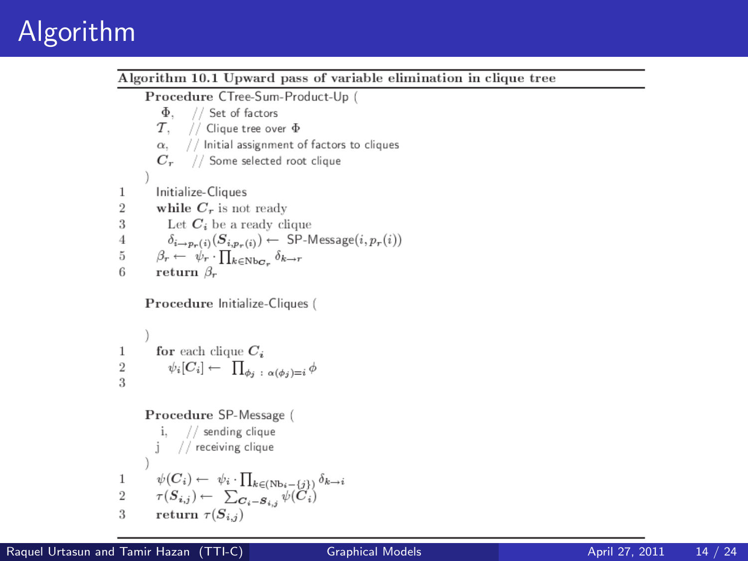# Algorithm

Algorithm 10.1 Upward pass of variable elimination in clique tree Procedure CTree-Sum-Product-Up  $\Phi$ . // Set of factors  $\tau$ . // Clique tree over  $\Phi$ // Initial assignment of factors to cliques  $\alpha$ .  $C_r$ // Some selected root clique Initialize-Cliques 1 while  $C_r$  is not ready  $\overline{2}$ 3 Let  $C_i$  be a ready clique  $\delta_{i\rightarrow p_r(i)}(S_{i,p_r(i)}) \leftarrow \text{ SP-Message}(i, p_r(i))$  $\overline{4}$  $\beta_r \leftarrow \psi_r \cdot \prod_{k \in \text{Nb}_{\mathbf{C}_r}} \delta_{k \to r}$ 5 return  $\beta_r$ 6

Procedure Initialize-Cliques (

1 **for each clique** 
$$
C_i
$$
  
2  $\psi_i[C_i] \leftarrow \prod_{\phi_j \; : \; \alpha(\phi_j)=i} d$ 

Procedure SP-Message ( i,  $//$  sending clique // receiving clique  $\begin{array}{rl} & \psi(C_i) \leftarrow & \psi_i \cdot \prod_{k \in (\mathrm{Nb}_i - \{j\})} \delta_{k \rightarrow i} \\ & \tau(S_{i,j}) \leftarrow & \sum_{\mathcal{O}_i = \mathcal{S}_{i,j}} \psi(C_i) \end{array}$ 1  $\overline{2}$ 3 return  $\tau(S_{i,j})$ 

١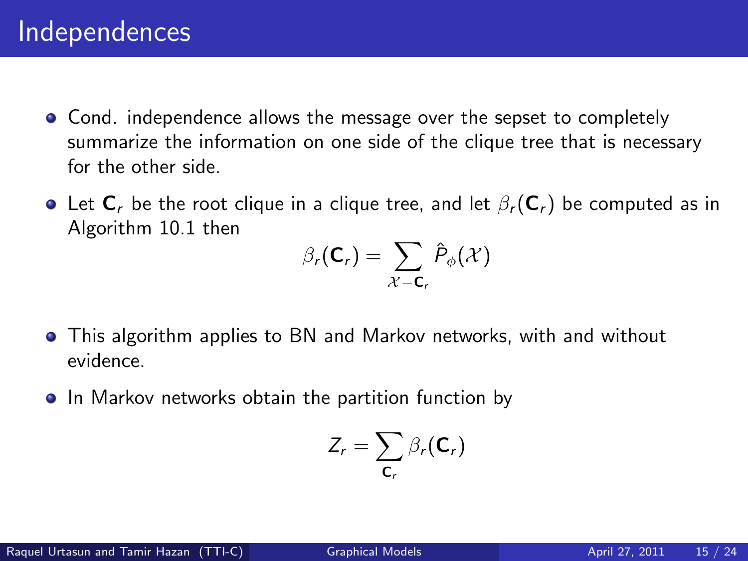- Cond. independence allows the message over the sepset to completely summarize the information on one side of the clique tree that is necessary for the other side.
- **•** Let  $C_r$  be the root clique in a clique tree, and let  $\beta_r(C_r)$  be computed as in Algorithm 10.1 then

$$
\beta_r(\mathbf{C}_r) = \sum_{\mathcal{X} - \mathbf{C}_r} \hat{P}_{\phi}(\mathcal{X})
$$

- This algorithm applies to BN and Markov networks, with and without evidence.
- In Markov networks obtain the partition function by

$$
Z_r = \sum_{\mathsf{C}_r} \beta_r(\mathsf{C}_r)
$$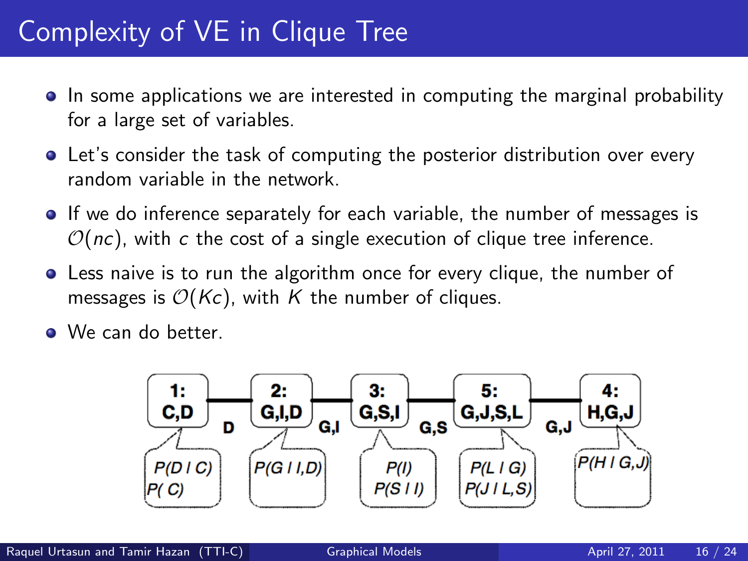# Complexity of VE in Clique Tree

- In some applications we are interested in computing the marginal probability for a large set of variables.
- Let's consider the task of computing the posterior distribution over every random variable in the network.
- **If we do inference separately for each variable, the number of messages is**  $\mathcal{O}(nc)$ , with c the cost of a single execution of clique tree inference.
- Less naive is to run the algorithm once for every clique, the number of messages is  $O(Kc)$ , with K the number of cliques.
- **.** We can do better.

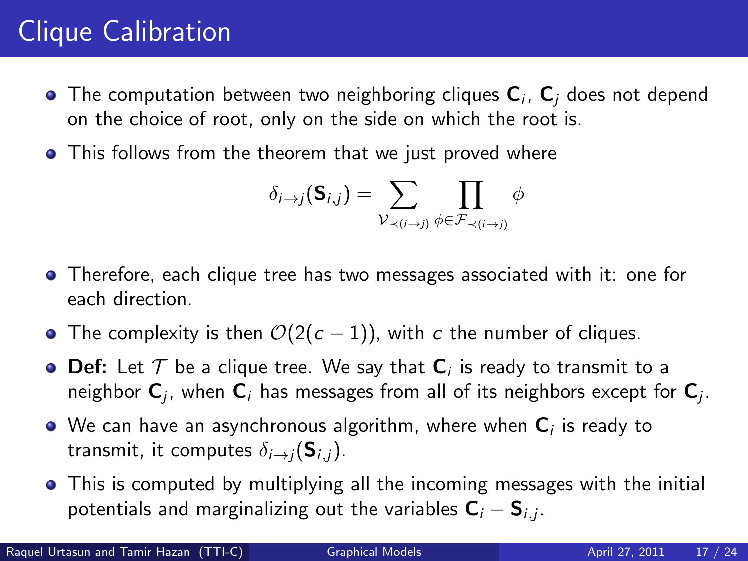# Clique Calibration

- The computation between two neighboring cliques  ${\sf C}_i,$   ${\sf C}_j$  does not depend on the choice of root, only on the side on which the root is.
- **•** This follows from the theorem that we just proved where

$$
\delta_{i\to j}(\mathsf{S}_{i,j}) = \sum_{\mathcal{V}_{\prec(i\to j)}} \prod_{\phi \in \mathcal{F}_{\prec(i\to j)}} \phi
$$

- Therefore, each clique tree has two messages associated with it: one for each direction.
- The complexity is then  $O(2(c-1))$ , with c the number of cliques.
- **Def:** Let  $\mathcal T$  be a clique tree. We say that  $\mathsf C_i$  is ready to transmit to a neighbor  ${\sf C}_j$ , when  ${\sf C}_i$  has messages from all of its neighbors except for  ${\sf C}_j$ .
- We can have an asynchronous algorithm, where when  ${\sf C}_i$  is ready to transmit, it computes  $\delta_{i\rightarrow i}(\mathbf{S}_{i,i})$ .
- This is computed by multiplying all the incoming messages with the initial potentials and marginalizing out the variables  $\mathsf{C}_i - \mathsf{S}_{i,j}.$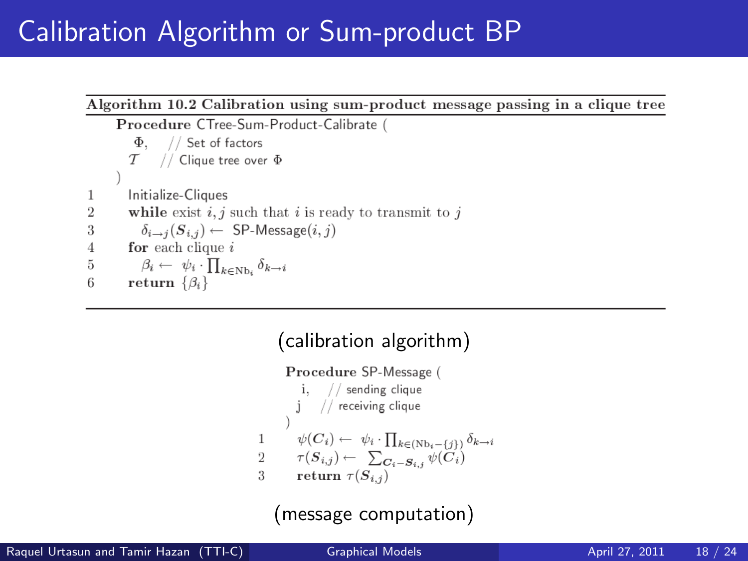### Calibration Algorithm or Sum-product BP



#### (calibration algorithm) Procedure SP-Message ( i.  $//$  sending clique  $j$  // receiving clique  $\psi(C_i) \leftarrow \psi_i \cdot \prod_{k \in (Nb_i - \{i\})} \delta_{k \to i}$  $\mathbf{1}$  $\tau(S_{i,j}) \leftarrow \sum_{\mathbf{C}_i = \mathbf{S}_{i,j}} \psi(\mathbf{C}_i)$  $\sqrt{2}$  $\mathcal{R}$ return  $\tau(S_{i,j})$

(message computation)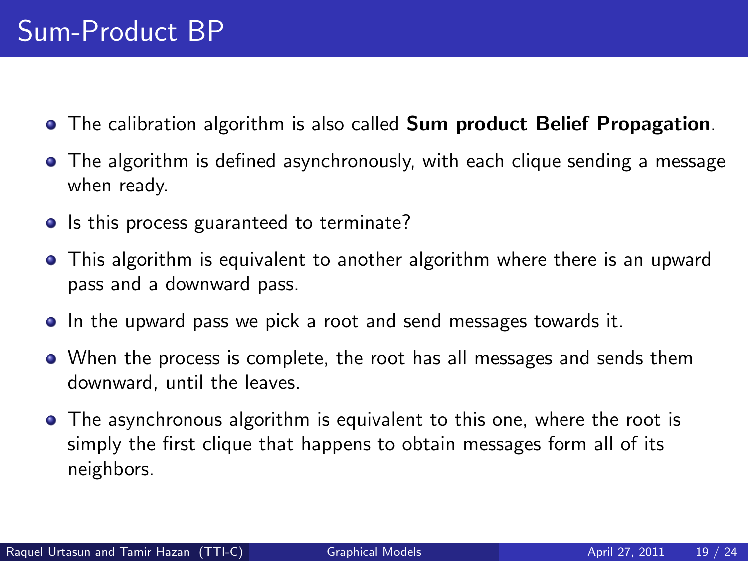- The calibration algorithm is also called **Sum product Belief Propagation**.
- The algorithm is defined asynchronously, with each clique sending a message when ready.
- Is this process guaranteed to terminate?
- This algorithm is equivalent to another algorithm where there is an upward pass and a downward pass.
- **In the upward pass we pick a root and send messages towards it.**
- When the process is complete, the root has all messages and sends them downward, until the leaves.
- The asynchronous algorithm is equivalent to this one, where the root is simply the first clique that happens to obtain messages form all of its neighbors.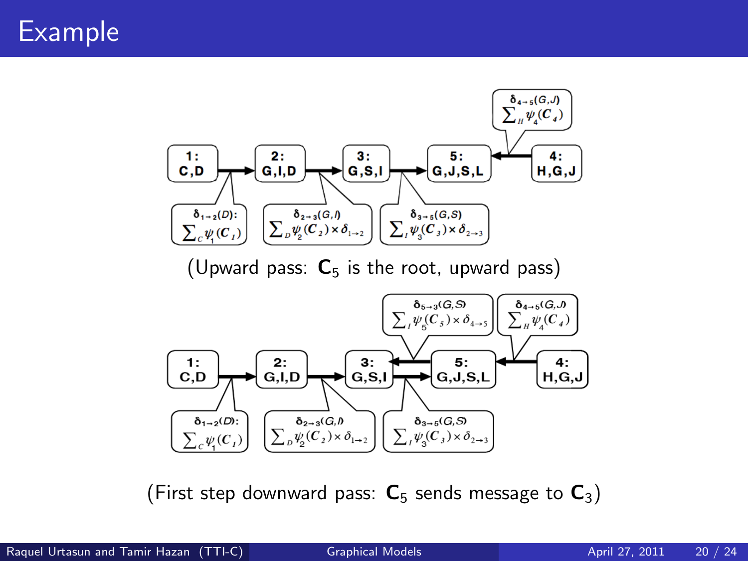

(Upward pass:  $C_5$  is the root, upward pass)



(First step downward pass:  $C_5$  sends message to  $C_3$ )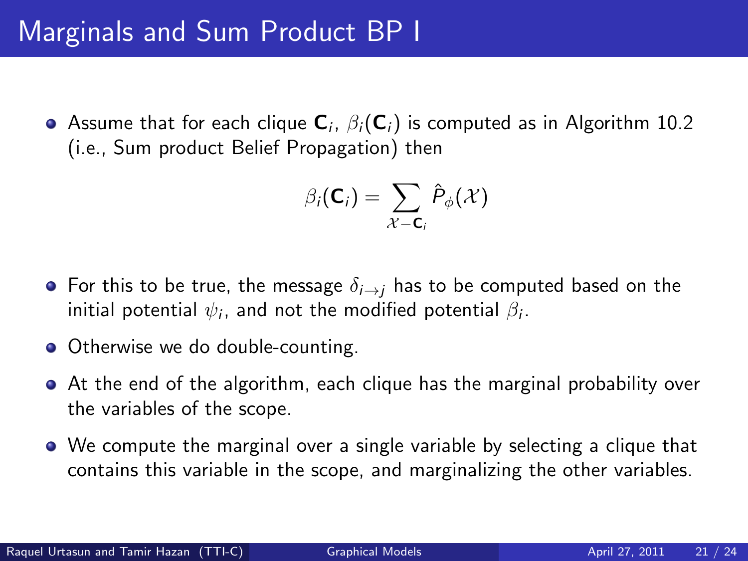Assume that for each clique  ${\sf C}_i$ ,  $\beta_i({\sf C}_i)$  is computed as in Algorithm 10.2 (i.e., Sum product Belief Propagation) then

$$
\beta_i(\mathbf{C}_i) = \sum_{\mathcal{X} - \mathbf{C}_i} \hat{P}_{\phi}(\mathcal{X})
$$

- For this to be true, the message  $\delta_{i\rightarrow i}$  has to be computed based on the initial potential  $\psi_i$ , and not the modified potential  $\beta_i.$
- Otherwise we do double-counting.
- At the end of the algorithm, each clique has the marginal probability over the variables of the scope.
- We compute the marginal over a single variable by selecting a clique that contains this variable in the scope, and marginalizing the other variables.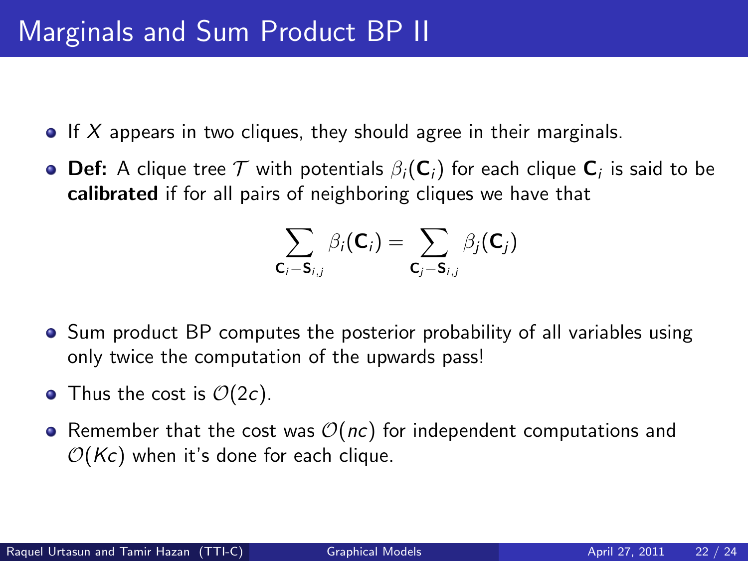- $\bullet$  If X appears in two cliques, they should agree in their marginals.
- $\mathsf{Def} \colon A$  clique tree  $\mathcal T$  with potentials  $\beta_i(\mathsf{C}_i)$  for each clique  $\mathsf{C}_i$  is said to be calibrated if for all pairs of neighboring cliques we have that

$$
\sum_{\mathsf{C}_i-\mathsf{S}_{i,j}}\beta_i(\mathsf{C}_i)=\sum_{\mathsf{C}_j-\mathsf{S}_{i,j}}\beta_j(\mathsf{C}_j)
$$

- Sum product BP computes the posterior probability of all variables using only twice the computation of the upwards pass!
- Thus the cost is  $\mathcal{O}(2c)$ .
- Remember that the cost was  $\mathcal{O}(nc)$  for independent computations and  $\mathcal{O}(K_c)$  when it's done for each clique.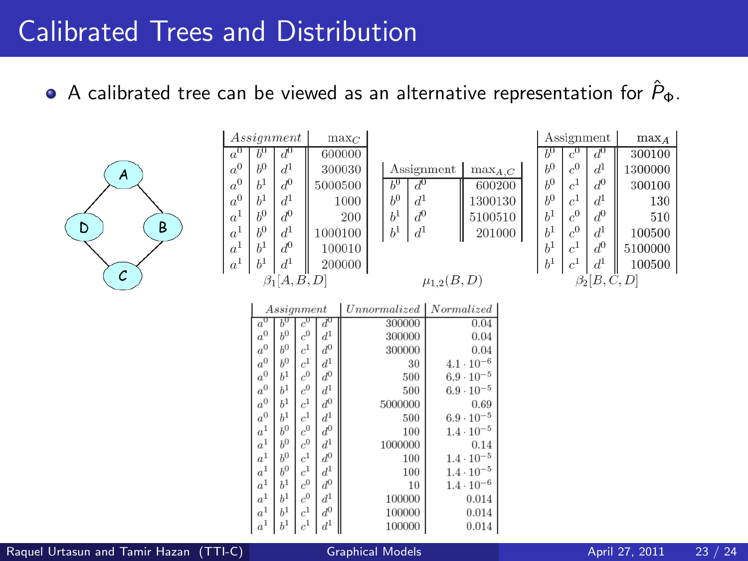#### Calibrated Trees and Distribution

A calibrated tree can be viewed as an alternative representation for  $\hat{P}_{\Phi}$ .



| Assignment         |                    |                    |       |                    | $\max_C$ |  |            |
|--------------------|--------------------|--------------------|-------|--------------------|----------|--|------------|
| $a^0$              | $b^0$              | ₫                  |       |                    | 600000   |  |            |
| $\boldsymbol{a}^0$ | $b^0$              | $d^1$              |       | 300030             |          |  | A ss       |
| $a^0$              | $b^1$              | $\boldsymbol{d}^0$ |       | 5000500            |          |  | $b^0$      |
| $a^0$              | h <sup>1</sup>     | $d^1\,$            |       |                    | 1000     |  | $h^0$      |
| $a^1$              | $b^0\,$            | $\boldsymbol{d}^0$ |       | 200                |          |  | $b^1$      |
| $\boldsymbol{a}^1$ | $b^0$              | $d^1$              |       | 1000100            |          |  | $h^1$      |
| a <sup>1</sup>     | $b^1$              | $\frac{d^0}{d^1}$  |       | 100010             |          |  |            |
| $a^1$              | $b^1\,$            |                    |       | 200000             |          |  |            |
| $\beta_1[A, B, D]$ |                    |                    |       |                    |          |  |            |
|                    |                    |                    |       |                    |          |  |            |
|                    | Assignment         |                    |       |                    |          |  | Unnormaliz |
|                    | $a^{\prime}$       |                    | c'    | ď                  |          |  | 3000       |
|                    | $a^0$              | $b^0$              | $c^0$ | $d^1$              |          |  | 3000       |
|                    | $\boldsymbol{a}^0$ | $b^0$              | $c^1$ | $\boldsymbol{d}^0$ |          |  | 3000       |
|                    | n                  | $\cdot$ $\cap$     |       | ٠,                 |          |  |            |

|                                      | Assignment                 | $\max_{A,C}$                           |  |  |  |
|--------------------------------------|----------------------------|----------------------------------------|--|--|--|
| Ъ<br>$h^0$<br>$b^1$<br>$\check{b}^1$ | $d^1$<br>$\frac{d^0}{d^1}$ | 600200<br>1300130<br>5100510<br>201000 |  |  |  |
| $\mu_{1,2}(B, D)$                    |                            |                                        |  |  |  |

|                     | Assignment         | $max_A$ |         |  |  |
|---------------------|--------------------|---------|---------|--|--|
| $h^0$               | $c^0$              | $d^0$   | 300100  |  |  |
| b <sup>0</sup>      | $c^0$              | $d^1$   | 1300000 |  |  |
| b <sup>0</sup>      | c <sup>1</sup>     | $d^0$   | 300100  |  |  |
| b <sup>0</sup>      | c <sup>1</sup>     | $d^1$   | 130     |  |  |
| h <sup>1</sup>      | $c^0$              | $d^0\,$ | 510     |  |  |
| $b^1$               | $\boldsymbol{c}^0$ | $d^1$   | 100500  |  |  |
| $b^1$               | $\boldsymbol{c}^1$ | $d^0\,$ | 5100000 |  |  |
| h <sup>1</sup>      | $c^1$              | $d^1$   | 100500  |  |  |
| $\beta_2$ [B, C, D] |                    |         |         |  |  |

| Assignment         |                |                    |                      | Unnormalized   Normalized |                     |  |
|--------------------|----------------|--------------------|----------------------|---------------------------|---------------------|--|
| $a^{\overline{0}}$ | Ы              | $\bar{c}$          | $d^0$                | 300000                    | 0.04                |  |
| $\boldsymbol{a}^0$ | h <sup>0</sup> | $\boldsymbol{c}^0$ | $d^1$                | 300000                    | 0.04                |  |
| $\boldsymbol{a}^0$ | b <sup>0</sup> | $\boldsymbol{c}^1$ | $\boldsymbol{d}^0$   | 300000                    | 0.04                |  |
| $\boldsymbol{a}^0$ | b <sup>0</sup> | $\boldsymbol{c}^1$ | $d^{\hspace{.5pt}1}$ | 30                        | $4.1 \cdot 10^{-6}$ |  |
| $\boldsymbol{a}^0$ | $b^1$          | $\boldsymbol{c}^0$ | $d^0\,$              | 500                       | $6.9 \cdot 10^{-5}$ |  |
| $a^0\,$            | h <sup>1</sup> | $\boldsymbol{c}^0$ | $d^1\,$              | 500                       | $6.9 \cdot 10^{-5}$ |  |
| $\boldsymbol{a}^0$ | h <sup>1</sup> | $\boldsymbol{c}^1$ | $d^0\,$              | 5000000                   | 0.69                |  |
| $\boldsymbol{a}^0$ | $b^1$          | $\boldsymbol{c}^1$ | $d^1\,$              | 500                       | $6.9 \cdot 10^{-5}$ |  |
| $\boldsymbol{a}^1$ | $h^0$          | $\boldsymbol{c}^0$ | $\boldsymbol{d}^0$   | 100                       | $1.4 \cdot 10^{-5}$ |  |
| $\boldsymbol{a}^1$ | h <sup>0</sup> | $\boldsymbol{c}^0$ | $d^1\,$              | 1000000                   | 0.14                |  |
| $\boldsymbol{a}^1$ | b <sup>0</sup> | $\boldsymbol{c}^1$ | $\boldsymbol{d}^0$   | 100                       | $1.4 \cdot 10^{-5}$ |  |
| $\boldsymbol{a}^1$ | $b^0$          | $\boldsymbol{c}^1$ | $\boldsymbol{d}^1$   | 100                       | $1.4 \cdot 10^{-5}$ |  |
| $a^1$              | $b^1$          | $\boldsymbol{c}^0$ | $d^0\,$              | 10                        | $1.4 \cdot 10^{-6}$ |  |
| $\boldsymbol{a}^1$ | h <sup>1</sup> | $\boldsymbol{c}^0$ | $d^1\,$              | 100000                    | 0.014               |  |
| $\boldsymbol{a}^1$ | h <sup>1</sup> | $\boldsymbol{c}^1$ | $\boldsymbol{d}^0$   | 100000                    | 0.014               |  |
| $\boldsymbol{a}^1$ | $b^1$          | c <sup>1</sup>     | $\boldsymbol{d}^1$   | 100000                    | 0.014               |  |